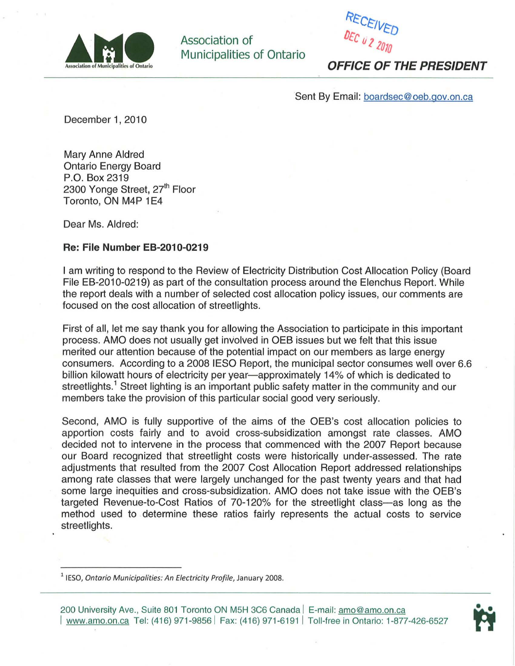

Association of Municipalities of Ontario



**OFFICE OF THE PRESIDENT** 

Sent By Email: boardsec@oeb.gov.on.ca

December 1, 2010

Mary Anne Aldred Ontario Energy Board P.O. Box 2319 2300 Yonge Street, 27<sup>th</sup> Floor Toronto, ON M4P 1E4

Dear Ms. Aldred:

## **Re: File Number EB-2010-0219**

I am writing to respond to the Review of Electricity Distribution Cost Allocation Policy (Board File EB-2010-0219) as part of the consultation process around the Elenchus Report. While the report deals with a number of selected cost allocation policy issues, our comments are focused on the cost allocation of streetlights.

First of all, let me say thank you for allowing the Association to participate in this important process. AMO does not usually get involved in OEB issues but we felt that this issue merited our attention because of the potential impact on our members as large energy consumers. According to a 2008 IESO Report, the municipal sector consumes well over 6.6 billion kilowatt hours of electricity per year—approximately 14% of which is dedicated to streetlights.<sup>1</sup> Street lighting is an important public safety matter in the community and our members take the provision of this particular social good very seriously.

Second, AMO is fully supportive of the aims of the OEB's cost allocation policies to apportion costs fairly and to avoid cross-subsidization amongst rate classes. AMO decided not to intervene in the process that commenced with the 2007 Report because our Board recognized that streetlight costs were historically under-assessed. The rate adjustments that resulted from the 2007 Cost Allocation Report addressed relationships among rate classes that were largely unchanged for the past twenty years and that had some large inequities and cross-subsidization. AMO does not take issue with the QEB's targeted Revenue-to-Cost Ratios of 70-120% for the streetlight class-as long as the method used to determine these ratios fairly represents the actual costs to service streetlights.



 $<sup>1</sup>$  IESO, Ontario Municipalities: An Electricity Profile, January 2008.</sup>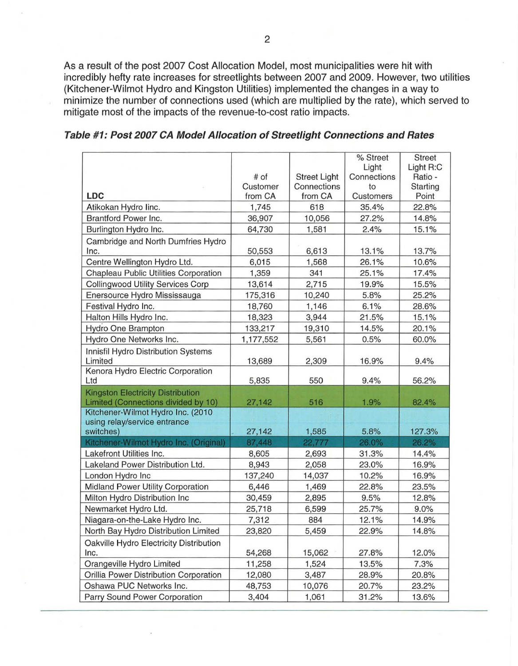As a result of the post 2007 Cost Allocation Model, most municipalities were hit with incredibly hefty rate increases for streetlights between 2007 and 2009. However, two utilities (Kitchener-Wilmot Hydro and Kingston Utilities) implemented the changes in a way to minimize the number of connections used (which are multiplied by the rate), which served to mitigate most of the impacts of the revenue-to-cost ratio impacts.

|                                                                     |           |                     | % Street       | <b>Street</b> |
|---------------------------------------------------------------------|-----------|---------------------|----------------|---------------|
|                                                                     |           |                     | Light          | Light R:C     |
|                                                                     | # of      | <b>Street Light</b> | Connections    | Ratio -       |
|                                                                     | Customer  | Connections         | to             | Starting      |
| <b>LDC</b>                                                          | from CA   | from CA             | Customers      | Point         |
| Atikokan Hydro linc.                                                | 1,745     | 618                 | 35.4%          | 22.8%         |
| Brantford Power Inc.                                                | 36,907    | 10,056              | 27.2%          | 14.8%         |
| Burlington Hydro Inc.                                               | 64,730    | 1,581               | 2.4%           | 15.1%         |
| Cambridge and North Dumfries Hydro                                  |           |                     |                |               |
| Inc.                                                                | 50,553    | 6,613               | 13.1%          | 13.7%         |
| Centre Wellington Hydro Ltd.                                        | 6,015     | 1,568               | 26.1%          | 10.6%         |
| Chapleau Public Utilities Corporation                               | 1,359     | 341                 | 25.1%          | 17.4%         |
| <b>Collingwood Utility Services Corp</b>                            | 13,614    | 2,715               | 19.9%          | 15.5%         |
| Enersource Hydro Mississauga                                        | 175,316   | 10,240              | 5.8%           | 25.2%         |
| Festival Hydro Inc.                                                 | 18,760    | 1,146               | 6.1%           | 28.6%         |
| Halton Hills Hydro Inc.                                             | 18,323    | 3,944               | 21.5%          | 15.1%         |
| Hydro One Brampton                                                  | 133,217   | 19,310              | 14.5%          | 20.1%         |
| Hydro One Networks Inc.                                             | 1,177,552 | 5,561               | 0.5%           | 60.0%         |
| Innisfil Hydro Distribution Systems                                 |           |                     |                |               |
| Limited                                                             | 13,689    | 2,309               | 16.9%          | 9.4%          |
| Kenora Hydro Electric Corporation                                   |           |                     |                |               |
| Ltd                                                                 | 5,835     | 550                 | 9.4%           | 56.2%         |
| <b>Kingston Electricity Distribution</b>                            |           |                     |                |               |
| Limited (Connections divided by 10)                                 | 27,142    | 516                 | 1.9%           | 82.4%         |
| Kitchener-Wilmot Hydro Inc. (2010                                   |           |                     |                |               |
| using relay/service entrance<br>switches)                           | 27,142    | 1,585               | 5.8%           | 127.3%        |
| Kitchener-Wilmot Hydro Inc. (Original)                              | 87,448    | 22,777              | 26.0%          | 26.2%         |
| Lakefront Utilities Inc.                                            | 8,605     | 2,693               | 31.3%          | 14.4%         |
| Lakeland Power Distribution Ltd.                                    | 8,943     | 2,058               | 23.0%          | 16.9%         |
| London Hydro Inc                                                    | 137,240   | 14,037              | 10.2%          | 16.9%         |
| Midland Power Utility Corporation                                   | 6,446     | 1,469               | 22.8%          | 23.5%         |
| Milton Hydro Distribution Inc                                       | 30,459    | 2,895               | 9.5%           | 12.8%         |
| Newmarket Hydro Ltd.                                                | 25,718    | 6,599               | 25.7%          | 9.0%          |
| Niagara-on-the-Lake Hydro Inc.                                      | 7,312     | 884                 | 12.1%          | 14.9%         |
| North Bay Hydro Distribution Limited                                | 23,820    | 5,459               | 22.9%          | 14.8%         |
|                                                                     |           |                     |                |               |
| Oakville Hydro Electricity Distribution                             |           | 15,062              |                |               |
| Inc.                                                                | 54,268    |                     | 27.8%<br>13.5% | 12.0%         |
| Orangeville Hydro Limited<br>Orillia Power Distribution Corporation | 11,258    | 1,524               |                | 7.3%          |
| Oshawa PUC Networks Inc.                                            | 12,080    | 3,487               | 28.9%          | 20.8%         |
|                                                                     | 48,753    | 10,076              | 20.7%          | 23.2%         |
| Parry Sound Power Corporation                                       | 3,404     | 1,061               | 31.2%          | 13.6%         |

**Table #1: Post 2007 CA Model Allocation of Streetlight Connections and Rates**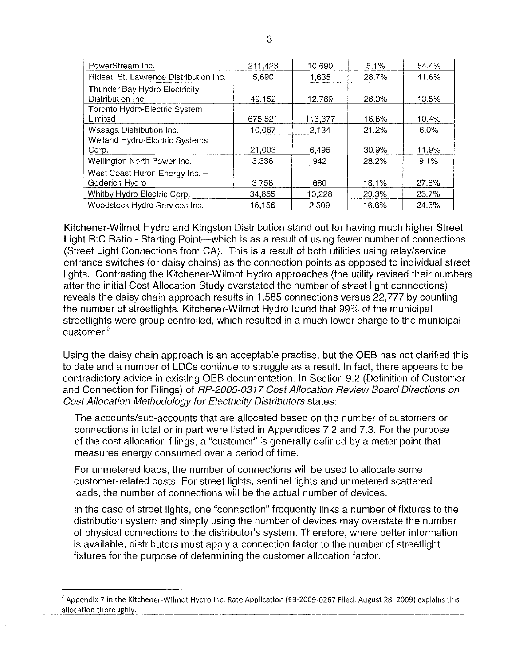| PowerStream Inc.                                   | 211,423 | 10,690  | 5.1%  | 54.4% |
|----------------------------------------------------|---------|---------|-------|-------|
| Rideau St. Lawrence Distribution Inc.              | 5,690   | 1.635   | 28.7% | 41.6% |
| Thunder Bay Hydro Electricity<br>Distribution Inc. | 49,152  | 12,769  | 26.0% | 13.5% |
| Toronto Hydro-Electric System<br>Limited           | 675,521 | 113,377 | 16.8% | 10.4% |
| Wasaga Distribution Inc.                           | 10,067  | 2,134   | 21.2% | 6.0%  |
| Welland Hydro-Electric Systems                     |         |         |       |       |
| Corp.                                              | 21,003  | 6.495   | 30.9% | 11.9% |
| Wellington North Power Inc.                        | 3,336   | 942     | 28.2% | 9.1%  |
| West Coast Huron Energy Inc. -<br>Goderich Hydro   | 3,758   | 680     | 18.1% | 27.8% |
| Whitby Hydro Electric Corp.                        | 34,855  | 10,228  | 29.3% | 23.7% |
| Woodstock Hydro Services Inc.                      | 15,156  | 2.509   | 16.6% | 24.6% |

Kitchener-Wilmot Hydro and Kingston Distribution stand out for having much higher Street Light R:C Ratio - Starting Point-which is as a result of using fewer number of connections (Street Light Connections from CA). This is a result of both utilities using relay/service entrance switches (or daisy chains) as the connection points as opposed to individual street lights. Contrasting the Kitchener-Wilmot Hydro approaches (the utility revised their numbers after the initial Cost Allocation Study overstated the number of street light connections) reveals the daisy chain approach results in 1,585 connections versus 22,777 by counting the number of streetlights. Kitchener-Wilmot Hydro found that 99% of the municipal streetlights were group controlled, which resulted in a much lower charge to the municipal customer.<sup>2</sup>

Using the daisy chain approach is an acceptable practise, but the OEB has not clarified this to date and a number of LDCs continue to struggle as a result. In fact, there appears to be contradictory advice in existing OEB documentation. In Section 9.2 (Definition of Customer and Connection for Filings) of RP-2005-0317 Cost Allocation Review Board Directions on Cost Allocation Methodology for Electricity Distributors states:

The accounts/sub-accounts that are allocated based on the number of customers or connections in total or in part were listed in Appendices 7.2 and 7.3. For the purpose of the cost allocation filings, a "customer" is generally defined by a meter point that measures energy consumed over a period of time.

For unmetered loads, the number of connections will be used to allocate some customer-related costs. For street lights, sentinel lights and unmetered scattered loads, the number of connections will be the actual number of devices.

In the case of street lights, one "connection" frequently links a number of fixtures to the distribution system and simply using the number of devices may overstate the number of physical connections to the distributor's system. Therefore, where better information is available, distributors must apply a connection factor to the number of streetlight fixtures for the purpose of determining the customer allocation factor.

 $^2$  Appendix 7 in the Kitchener-Wilmot Hydro Inc. Rate Application (EB-2009-0267 Filed: August 28, 2009) explains this allocation thoroughly.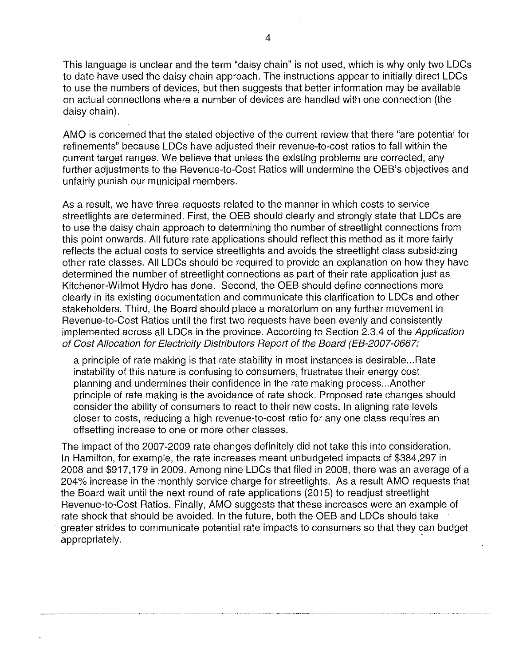This language is unclear and the term "daisy chain" is not used, which is why only two LOCs to date have used the daisy chain approach. The instructions appear to initially direct LOCs to use the numbers of devices, but then suggests that better information may be available on actual connections where a number of devices are handled with one connection (the daisy chain).

AMO is concemed that the stated objective of the current review that there "are potential for refinements" because LOCs have adjusted their revenue-to-cost ratios to fall within the current target ranges. We believe that unless the existing problems are corrected, any further adjustments to the Revenue-to-Cost Ratios will undermine the OEB's objectives and unfairly punish our municipal members.

As a result, we have three requests related to the manner in which costs to service streetlights are determined. First, the OEB should clearly and strongly state that LDCs are to use the daisy chain approach to determining the number of streetlight connections from this point onwards. All future rate applications should reflect this method as it more fairly reflects the actual costs to service streetlights and avoids the streetlight class subsidizing other rate classes. All LOCs should be required to provide an explanation on how they have determined the number of streetlight connections as part of their rate application just as Kitchener-Wilmot Hydro has done. Second, the OEB should define connections more clearly in its existing documentation and communicate this clarification to LOCs and other stakeholders. Third, the Board should place a moratorium on any further movement in Revenue-to-Cost Ratios until the first two requests have been evenly and consistently implemented across all LOCs in the province. According to Section 2.3.4 of the Application of Cost Allocation for Electricity Distributors Report of the Board (EB-2007-0667:

a principle of rate making is that rate stability in most instances is desirable ... Rate instability of this nature is confusing to consumers, frustrates their energy cost planning and undermines their confidence in the rate making process ... Another principle of rate making is the avoidance of rate shock. Proposed rate changes should consider the ability of consumers to react to their new costs. In aligning rate levels closer to costs, reducing a high revenue-to-cost ratio for anyone class requires an offsetting increase to one or more other classes.

The impact of the 2007-2009 rate changes definitely did not take this into consideration. In Hamilton, for example, the rate increases meant unbudgeted impacts of \$384,297 in 2008 and \$917,179 in 2009. Among nine LOCs that filed in 2008, there was an average of a 204% increase in the monthly service charge for streetlights. As a result AMO requests that the Board wait until the next round of rate applications (2015) to readjust streetlight Revenue-to-Cost Ratios. Finally, AMO suggests that these increases were an example of rate shock that should be avoided. In the future, both the OEB and LOCs should take greater strides to communicate potential rate impacts to consumers so that they can budget appropriately. .